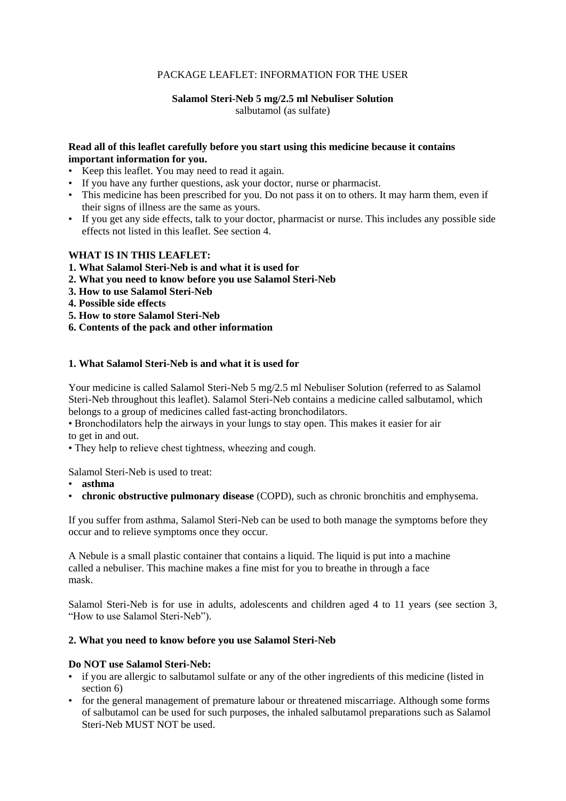## PACKAGE LEAFLET: INFORMATION FOR THE USER

# **Salamol Steri-Neb 5 mg/2.5 ml Nebuliser Solution**

salbutamol (as sulfate)

## **Read all of this leaflet carefully before you start using this medicine because it contains important information for you.**

- Keep this leaflet. You may need to read it again.
- If you have any further questions, ask your doctor, nurse or pharmacist.
- This medicine has been prescribed for you. Do not pass it on to others. It may harm them, even if their signs of illness are the same as yours.
- If you get any side effects, talk to your doctor, pharmacist or nurse. This includes any possible side effects not listed in this leaflet. See section 4.

## **WHAT IS IN THIS LEAFLET:**

- **1. What Salamol Steri-Neb is and what it is used for**
- **2. What you need to know before you use Salamol Steri-Neb**
- **3. How to use Salamol Steri-Neb**
- **4. Possible side effects**
- **5. How to store Salamol Steri-Neb**
- **6. Contents of the pack and other information**

## **1. What Salamol Steri-Neb is and what it is used for**

Your medicine is called Salamol Steri-Neb 5 mg/2.5 ml Nebuliser Solution (referred to as Salamol Steri-Neb throughout this leaflet). Salamol Steri-Neb contains a medicine called salbutamol, which belongs to a group of medicines called fast-acting bronchodilators.

• Bronchodilators help the airways in your lungs to stay open. This makes it easier for air to get in and out.

• They help to relieve chest tightness, wheezing and cough.

Salamol Steri-Neb is used to treat:

- **asthma**
- **chronic obstructive pulmonary disease** (COPD), such as chronic bronchitis and emphysema.

If you suffer from asthma, Salamol Steri-Neb can be used to both manage the symptoms before they occur and to relieve symptoms once they occur.

A Nebule is a small plastic container that contains a liquid. The liquid is put into a machine called a nebuliser. This machine makes a fine mist for you to breathe in through a face mask.

Salamol Steri-Neb is for use in adults, adolescents and children aged 4 to 11 years (see section 3, "How to use Salamol Steri-Neb").

#### **2. What you need to know before you use Salamol Steri-Neb**

## **Do NOT use Salamol Steri-Neb:**

- if you are allergic to salbutamol sulfate or any of the other ingredients of this medicine (listed in section 6)
- for the general management of premature labour or threatened miscarriage. Although some forms of salbutamol can be used for such purposes, the inhaled salbutamol preparations such as Salamol Steri-Neb MUST NOT be used.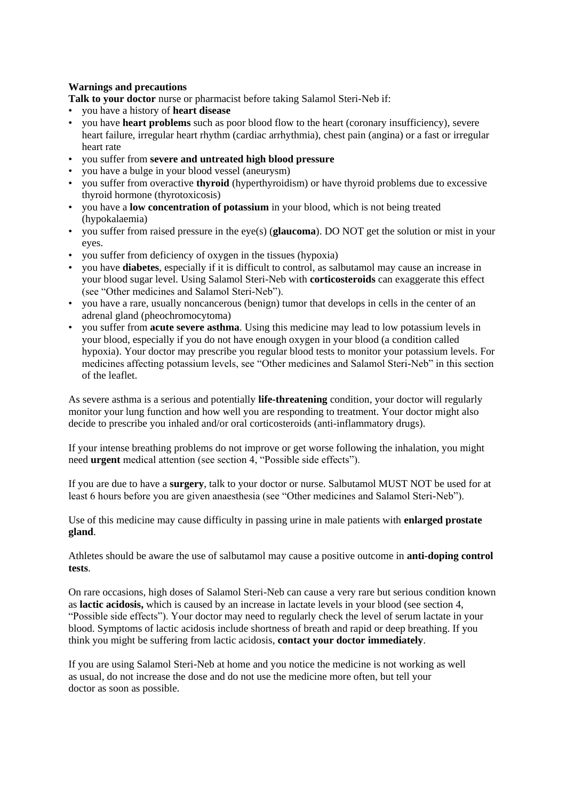## **Warnings and precautions**

**Talk to your doctor** nurse or pharmacist before taking Salamol Steri-Neb if:

- you have a history of **heart disease**
- you have **heart problems** such as poor blood flow to the heart (coronary insufficiency), severe heart failure, irregular heart rhythm (cardiac arrhythmia), chest pain (angina) or a fast or irregular heart rate
- you suffer from **severe and untreated high blood pressure**
- you have a bulge in your blood vessel (aneurysm)
- you suffer from overactive **thyroid** (hyperthyroidism) or have thyroid problems due to excessive thyroid hormone (thyrotoxicosis)
- you have a **low concentration of potassium** in your blood, which is not being treated (hypokalaemia)
- you suffer from raised pressure in the eye(s) (**glaucoma**). DO NOT get the solution or mist in your eyes.
- you suffer from deficiency of oxygen in the tissues (hypoxia)
- you have **diabetes**, especially if it is difficult to control, as salbutamol may cause an increase in your blood sugar level. Using Salamol Steri-Neb with **corticosteroids** can exaggerate this effect (see "Other medicines and Salamol Steri-Neb").
- you have a rare, usually noncancerous (benign) tumor that develops in cells in the center of an adrenal gland (pheochromocytoma)
- you suffer from **acute severe asthma**. Using this medicine may lead to low potassium levels in your blood, especially if you do not have enough oxygen in your blood (a condition called hypoxia). Your doctor may prescribe you regular blood tests to monitor your potassium levels. For medicines affecting potassium levels, see "Other medicines and Salamol Steri-Neb" in this section of the leaflet.

As severe asthma is a serious and potentially **life-threatening** condition, your doctor will regularly monitor your lung function and how well you are responding to treatment. Your doctor might also decide to prescribe you inhaled and/or oral corticosteroids (anti-inflammatory drugs).

If your intense breathing problems do not improve or get worse following the inhalation, you might need **urgent** medical attention (see section 4, "Possible side effects").

If you are due to have a **surgery**, talk to your doctor or nurse. Salbutamol MUST NOT be used for at least 6 hours before you are given anaesthesia (see "Other medicines and Salamol Steri-Neb").

Use of this medicine may cause difficulty in passing urine in male patients with **enlarged prostate gland**.

Athletes should be aware the use of salbutamol may cause a positive outcome in **anti-doping control tests**.

On rare occasions, high doses of Salamol Steri-Neb can cause a very rare but serious condition known as **lactic acidosis,** which is caused by an increase in lactate levels in your blood (see section 4, "Possible side effects"). Your doctor may need to regularly check the level of serum lactate in your blood. Symptoms of lactic acidosis include shortness of breath and rapid or deep breathing. If you think you might be suffering from lactic acidosis, **contact your doctor immediately**.

If you are using Salamol Steri-Neb at home and you notice the medicine is not working as well as usual, do not increase the dose and do not use the medicine more often, but tell your doctor as soon as possible.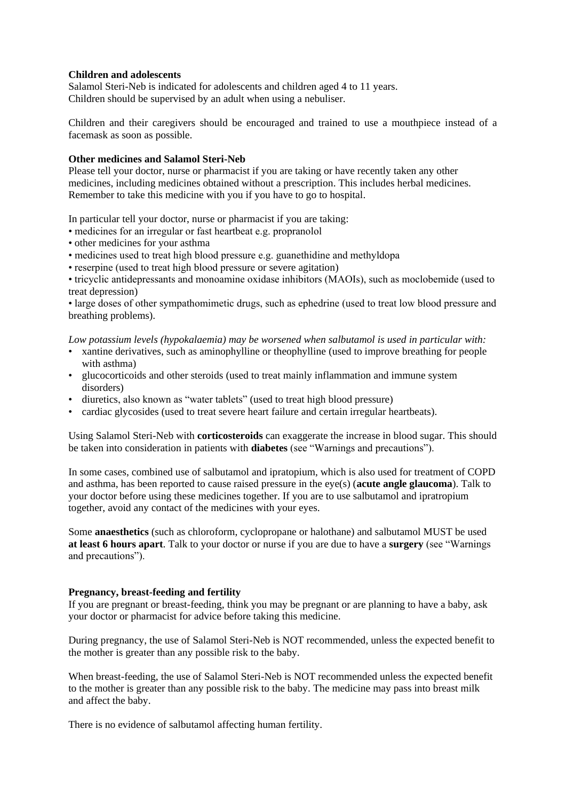#### **Children and adolescents**

Salamol Steri-Neb is indicated for adolescents and children aged 4 to 11 years. Children should be supervised by an adult when using a nebuliser.

Children and their caregivers should be encouraged and trained to use a mouthpiece instead of a facemask as soon as possible.

#### **Other medicines and Salamol Steri-Neb**

Please tell your doctor, nurse or pharmacist if you are taking or have recently taken any other medicines, including medicines obtained without a prescription. This includes herbal medicines. Remember to take this medicine with you if you have to go to hospital.

In particular tell your doctor, nurse or pharmacist if you are taking:

- medicines for an irregular or fast heartbeat e.g. propranolol
- other medicines for your asthma
- medicines used to treat high blood pressure e.g. guanethidine and methyldopa
- reserpine (used to treat high blood pressure or severe agitation)

• tricyclic antidepressants and monoamine oxidase inhibitors (MAOIs), such as moclobemide (used to treat depression)

• large doses of other sympathomimetic drugs, such as ephedrine (used to treat low blood pressure and breathing problems).

*Low potassium levels (hypokalaemia) may be worsened when salbutamol is used in particular with:*

- xantine derivatives, such as aminophylline or theophylline (used to improve breathing for people with asthma)
- glucocorticoids and other steroids (used to treat mainly inflammation and immune system disorders)
- diuretics, also known as "water tablets" (used to treat high blood pressure)
- cardiac glycosides (used to treat severe heart failure and certain irregular heartbeats).

Using Salamol Steri-Neb with **corticosteroids** can exaggerate the increase in blood sugar. This should be taken into consideration in patients with **diabetes** (see "Warnings and precautions").

In some cases, combined use of salbutamol and ipratopium, which is also used for treatment of COPD and asthma, has been reported to cause raised pressure in the eye(s) (**acute angle glaucoma**). Talk to your doctor before using these medicines together. If you are to use salbutamol and ipratropium together, avoid any contact of the medicines with your eyes.

Some **anaesthetics** (such as chloroform, cyclopropane or halothane) and salbutamol MUST be used **at least 6 hours apart**. Talk to your doctor or nurse if you are due to have a **surgery** (see "Warnings and precautions").

#### **Pregnancy, breast-feeding and fertility**

If you are pregnant or breast-feeding, think you may be pregnant or are planning to have a baby, ask your doctor or pharmacist for advice before taking this medicine.

During pregnancy, the use of Salamol Steri-Neb is NOT recommended, unless the expected benefit to the mother is greater than any possible risk to the baby.

When breast-feeding, the use of Salamol Steri-Neb is NOT recommended unless the expected benefit to the mother is greater than any possible risk to the baby. The medicine may pass into breast milk and affect the baby.

There is no evidence of salbutamol affecting human fertility.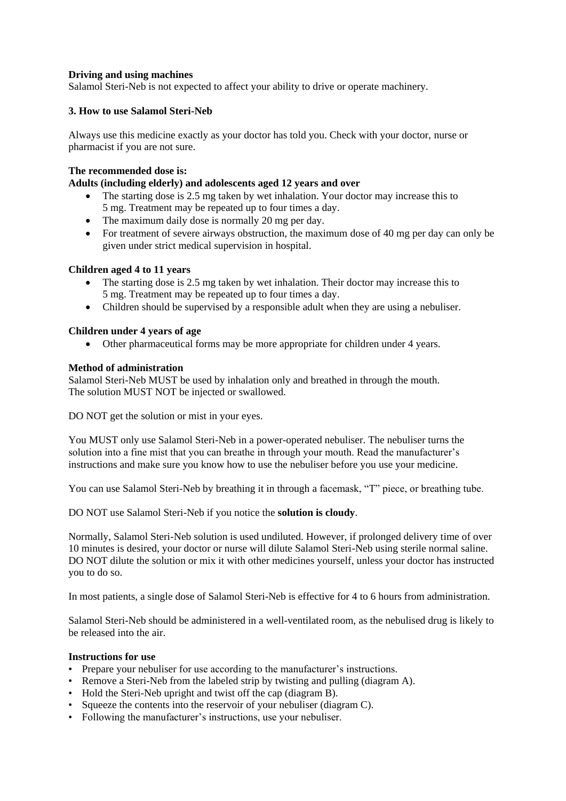## **Driving and using machines**

Salamol Steri-Neb is not expected to affect your ability to drive or operate machinery.

## **3. How to use Salamol Steri-Neb**

Always use this medicine exactly as your doctor has told you. Check with your doctor, nurse or pharmacist if you are not sure.

## **The recommended dose is:**

## **Adults (including elderly) and adolescents aged 12 years and over**

- The starting dose is 2.5 mg taken by wet inhalation. Your doctor may increase this to 5 mg. Treatment may be repeated up to four times a day.
- The maximum daily dose is normally 20 mg per day.
- For treatment of severe airways obstruction, the maximum dose of 40 mg per day can only be given under strict medical supervision in hospital.

## **Children aged 4 to 11 years**

- The starting dose is 2.5 mg taken by wet inhalation. Their doctor may increase this to 5 mg. Treatment may be repeated up to four times a day.
- Children should be supervised by a responsible adult when they are using a nebuliser.

## **Children under 4 years of age**

Other pharmaceutical forms may be more appropriate for children under 4 years.

## **Method of administration**

Salamol Steri-Neb MUST be used by inhalation only and breathed in through the mouth. The solution MUST NOT be injected or swallowed.

DO NOT get the solution or mist in your eyes.

You MUST only use Salamol Steri-Neb in a power-operated nebuliser. The nebuliser turns the solution into a fine mist that you can breathe in through your mouth. Read the manufacturer's instructions and make sure you know how to use the nebuliser before you use your medicine.

You can use Salamol Steri-Neb by breathing it in through a facemask, "T" piece, or breathing tube.

DO NOT use Salamol Steri-Neb if you notice the **solution is cloudy**.

Normally, Salamol Steri-Neb solution is used undiluted. However, if prolonged delivery time of over 10 minutes is desired, your doctor or nurse will dilute Salamol Steri-Neb using sterile normal saline. DO NOT dilute the solution or mix it with other medicines yourself, unless your doctor has instructed you to do so.

In most patients, a single dose of Salamol Steri-Neb is effective for 4 to 6 hours from administration.

Salamol Steri-Neb should be administered in a well-ventilated room, as the nebulised drug is likely to be released into the air.

#### **Instructions for use**

- Prepare your nebuliser for use according to the manufacturer's instructions.
- Remove a Steri-Neb from the labeled strip by twisting and pulling (diagram A).
- Hold the Steri-Neb upright and twist off the cap (diagram B).
- Squeeze the contents into the reservoir of your nebuliser (diagram C).
- Following the manufacturer's instructions, use your nebuliser.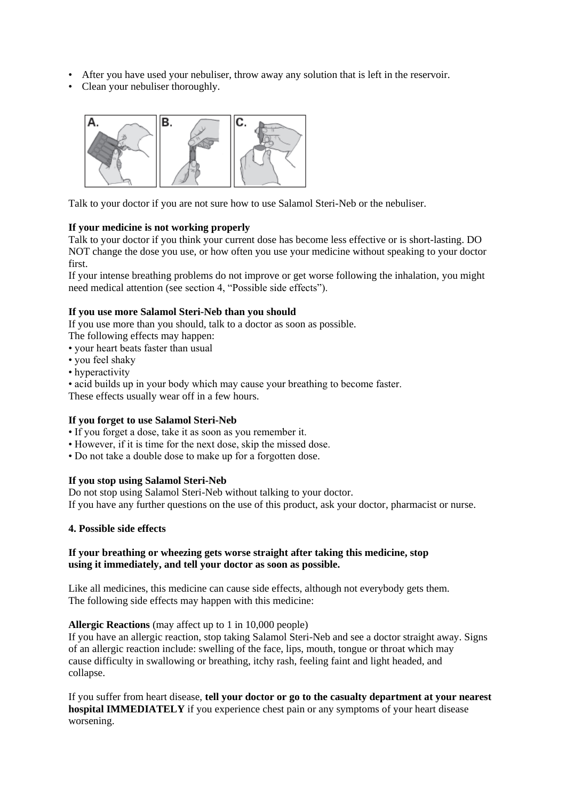- After you have used your nebuliser, throw away any solution that is left in the reservoir.
- Clean your nebuliser thoroughly.



Talk to your doctor if you are not sure how to use Salamol Steri-Neb or the nebuliser.

## **If your medicine is not working properly**

Talk to your doctor if you think your current dose has become less effective or is short-lasting. DO NOT change the dose you use, or how often you use your medicine without speaking to your doctor first.

If your intense breathing problems do not improve or get worse following the inhalation, you might need medical attention (see section 4, "Possible side effects").

## **If you use more Salamol Steri-Neb than you should**

If you use more than you should, talk to a doctor as soon as possible.

- The following effects may happen:
- your heart beats faster than usual
- you feel shaky
- hyperactivity
- acid builds up in your body which may cause your breathing to become faster.

These effects usually wear off in a few hours.

#### **If you forget to use Salamol Steri-Neb**

- If you forget a dose, take it as soon as you remember it.
- However, if it is time for the next dose, skip the missed dose.
- Do not take a double dose to make up for a forgotten dose.

#### **If you stop using Salamol Steri-Neb**

Do not stop using Salamol Steri-Neb without talking to your doctor. If you have any further questions on the use of this product, ask your doctor, pharmacist or nurse.

#### **4. Possible side effects**

#### **If your breathing or wheezing gets worse straight after taking this medicine, stop using it immediately, and tell your doctor as soon as possible.**

Like all medicines, this medicine can cause side effects, although not everybody gets them. The following side effects may happen with this medicine:

#### **Allergic Reactions** (may affect up to 1 in 10,000 people)

If you have an allergic reaction, stop taking Salamol Steri-Neb and see a doctor straight away. Signs of an allergic reaction include: swelling of the face, lips, mouth, tongue or throat which may cause difficulty in swallowing or breathing, itchy rash, feeling faint and light headed, and collapse.

If you suffer from heart disease, **tell your doctor or go to the casualty department at your nearest hospital IMMEDIATELY** if you experience chest pain or any symptoms of your heart disease worsening.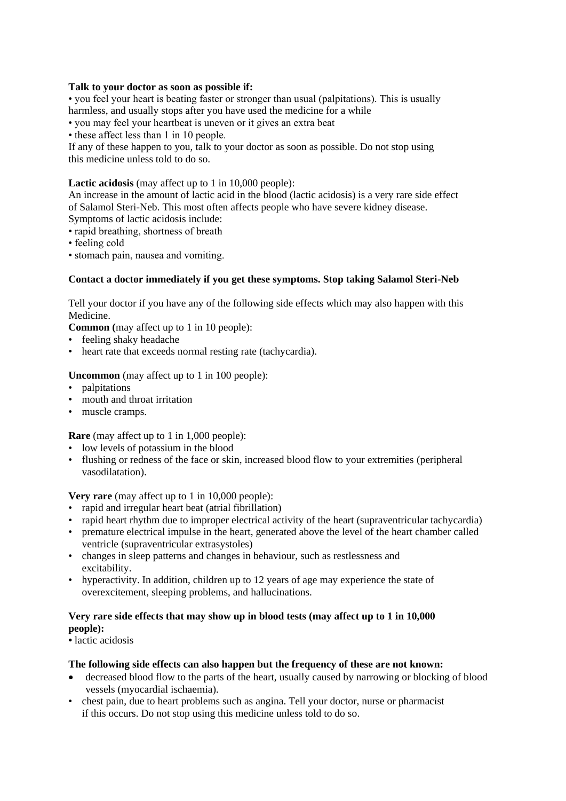### **Talk to your doctor as soon as possible if:**

• you feel your heart is beating faster or stronger than usual (palpitations). This is usually harmless, and usually stops after you have used the medicine for a while

• you may feel your heartbeat is uneven or it gives an extra beat

• these affect less than 1 in 10 people.

If any of these happen to you, talk to your doctor as soon as possible. Do not stop using this medicine unless told to do so.

## **Lactic acidosis** (may affect up to 1 in 10,000 people):

An increase in the amount of lactic acid in the blood (lactic acidosis) is a very rare side effect of Salamol Steri-Neb. This most often affects people who have severe kidney disease. Symptoms of lactic acidosis include:

• rapid breathing, shortness of breath

- feeling cold
- stomach pain, nausea and vomiting.

## **Contact a doctor immediately if you get these symptoms. Stop taking Salamol Steri-Neb**

Tell your doctor if you have any of the following side effects which may also happen with this Medicine.

**Common (**may affect up to 1 in 10 people):

- feeling shaky headache
- heart rate that exceeds normal resting rate (tachycardia).

## **Uncommon** (may affect up to 1 in 100 people):

- palpitations
- mouth and throat irritation
- muscle cramps.

**Rare** (may affect up to 1 in 1,000 people):

- low levels of potassium in the blood
- flushing or redness of the face or skin, increased blood flow to your extremities (peripheral vasodilatation).

**Very rare** (may affect up to 1 in 10,000 people):

- rapid and irregular heart beat (atrial fibrillation)
- rapid heart rhythm due to improper electrical activity of the heart (supraventricular tachycardia)
- premature electrical impulse in the heart, generated above the level of the heart chamber called ventricle (supraventricular extrasystoles)
- changes in sleep patterns and changes in behaviour, such as restlessness and excitability.
- hyperactivity. In addition, children up to 12 years of age may experience the state of overexcitement, sleeping problems, and hallucinations.

## **Very rare side effects that may show up in blood tests (may affect up to 1 in 10,000 people):**

• lactic acidosis

#### **The following side effects can also happen but the frequency of these are not known:**

- decreased blood flow to the parts of the heart, usually caused by narrowing or blocking of blood vessels (myocardial ischaemia).
- chest pain, due to heart problems such as angina. Tell your doctor, nurse or pharmacist if this occurs. Do not stop using this medicine unless told to do so.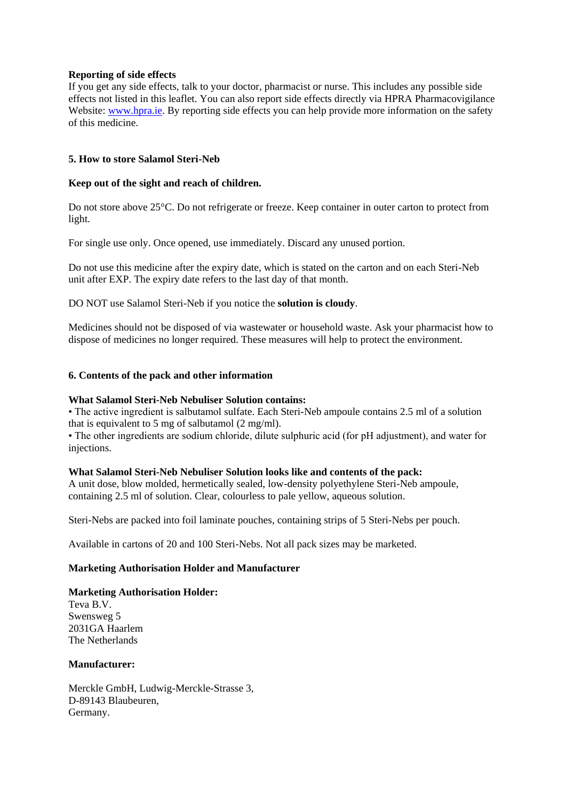### **Reporting of side effects**

If you get any side effects, talk to your doctor, pharmacist or nurse. This includes any possible side effects not listed in this leaflet. You can also report side effects directly via HPRA Pharmacovigilance Website: [www.hpra.ie.](http://www.hpra.ie/) By reporting side effects you can help provide more information on the safety of this medicine.

## **5. How to store Salamol Steri-Neb**

#### **Keep out of the sight and reach of children.**

Do not store above 25°C. Do not refrigerate or freeze. Keep container in outer carton to protect from light.

For single use only. Once opened, use immediately. Discard any unused portion.

Do not use this medicine after the expiry date, which is stated on the carton and on each Steri-Neb unit after EXP. The expiry date refers to the last day of that month.

DO NOT use Salamol Steri-Neb if you notice the **solution is cloudy**.

Medicines should not be disposed of via wastewater or household waste. Ask your pharmacist how to dispose of medicines no longer required. These measures will help to protect the environment.

#### **6. Contents of the pack and other information**

#### **What Salamol Steri-Neb Nebuliser Solution contains:**

• The active ingredient is salbutamol sulfate. Each Steri-Neb ampoule contains 2.5 ml of a solution that is equivalent to 5 mg of salbutamol (2 mg/ml).

• The other ingredients are sodium chloride, dilute sulphuric acid (for pH adjustment), and water for injections.

#### **What Salamol Steri-Neb Nebuliser Solution looks like and contents of the pack:**

A unit dose, blow molded, hermetically sealed, low-density polyethylene Steri-Neb ampoule, containing 2.5 ml of solution. Clear, colourless to pale yellow, aqueous solution.

Steri-Nebs are packed into foil laminate pouches, containing strips of 5 Steri-Nebs per pouch.

Available in cartons of 20 and 100 Steri-Nebs. Not all pack sizes may be marketed.

## **Marketing Authorisation Holder and Manufacturer**

#### **Marketing Authorisation Holder:**

Teva B.V. Swensweg 5 2031GA Haarlem The Netherlands

## **Manufacturer:**

Merckle GmbH, Ludwig-Merckle-Strasse 3, D-89143 Blaubeuren, Germany.